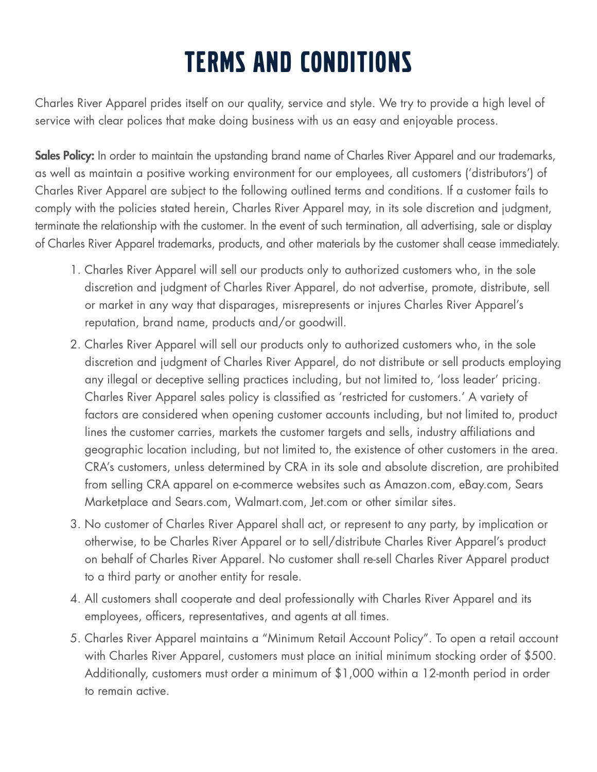# TERMS AND CONDITIONS

Charles River Apparel prides itself on our quality, service and style. We try to provide a high level of service with clear polices that make doing business with us an easy and enjoyable process.

Sales Policy: In order to maintain the upstanding brand name of Charles River Apparel and our trademarks, as well as maintain a positive working environment for our employees, all customers ('distributors') of Charles River Apparel are subject to the following outlined terms and conditions. If a customer fails to comply with the policies stated herein, Charles River Apparel may, in its sole discretion and judgment, terminate the relationship with the customer. In the event of such termination, all advertising, sale or display of Charles River Apparel trademarks, products, and other materials by the customer shall cease immediately.

- 1. Charles River Apparel will sell our products only to authorized customers who, in the sole discretion and judgment of Charles River Apparel, do not advertise, promote, distribute, sell or market in any way that disparages, misrepresents or injures Charles River Apparel's reputation, brand name, products and/or goodwill.
- 2. Charles River Apparel will sell our products only to authorized customers who, in the sole discretion and judgment of Charles River Apparel, do not distribute or sell products employing any illegal or deceptive selling practices including, but not limited to, 'loss leader' pricing. Charles River Apparel sales policy is classified as 'restricted for customers.' A variety of factors are considered when opening customer accounts including, but not limited to, product lines the customer carries, markets the customer targets and sells, industry affiliations and geographic location including, but not limited to, the existence of other customers in the area. CRA's customers, unless determined by CRA in its sole and absolute discretion, are prohibited from selling CRA apparel on e-commerce websites such as Amazon.com, eBay.com, Sears Marketplace and Sears.com, Walmart.com, Jet.com or other similar sites.
- 3. No customer of Charles River Apparel shall act, or represent to any party, by implication or otherwise, to be Charles River Apparel or to sell/distribute Charles River Apparel's product on behalf of Charles River Apparel. No customer shall re‐sell Charles River Apparel product to a third party or another entity for resale.
- 4. All customers shall cooperate and deal professionally with Charles River Apparel and its employees, officers, representatives, and agents at all times.
- 5. Charles River Apparel maintains a "Minimum Retail Account Policy". To open a retail account with Charles River Apparel, customers must place an initial minimum stocking order of \$500. Additionally, customers must order a minimum of \$1,000 within a 12-month period in order to remain active.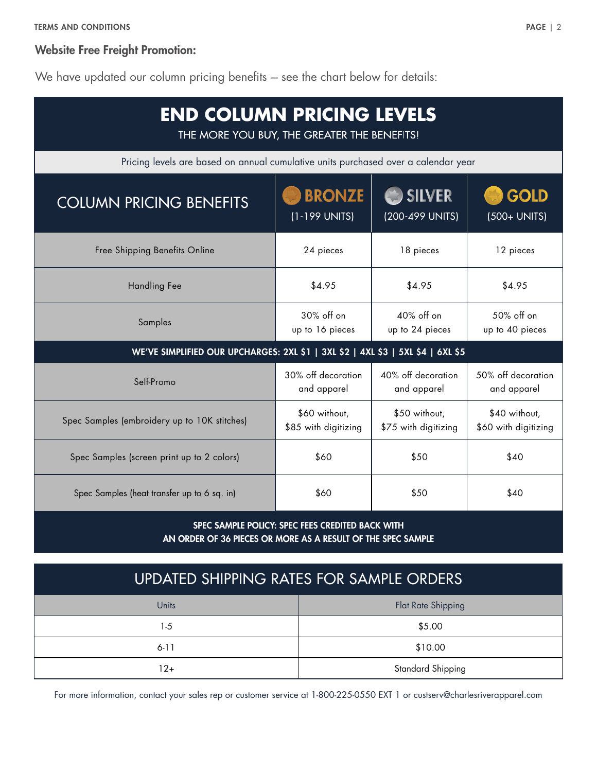## Website Free Freight Promotion:

We have updated our column pricing benefits -- see the chart below for details:

| <b>END COLUMN PRICING LEVELS</b><br>THE MORE YOU BUY, THE GREATER THE BENEFITS!    |                                       |                                       |                                       |
|------------------------------------------------------------------------------------|---------------------------------------|---------------------------------------|---------------------------------------|
| Pricing levels are based on annual cumulative units purchased over a calendar year |                                       |                                       |                                       |
| <b>COLUMN PRICING BENEFITS</b>                                                     | <b>BRONZE</b><br>(1-199 UNITS)        | $\bullet$ SILVER<br>(200-499 UNITS)   | <b>GOLD</b><br>(500+ UNITS)           |
| Free Shipping Benefits Online                                                      | 24 pieces                             | 18 pieces                             | 12 pieces                             |
| <b>Handling Fee</b>                                                                | \$4.95                                | \$4.95                                | \$4.95                                |
| Samples                                                                            | 30% off on<br>up to 16 pieces         | 40% off on<br>up to 24 pieces         | 50% off on<br>up to 40 pieces         |
| WE'VE SIMPLIFIED OUR UPCHARGES: 2XL \$1   3XL \$2   4XL \$3   5XL \$4   6XL \$5    |                                       |                                       |                                       |
| Self-Promo                                                                         | 30% off decoration<br>and apparel     | 40% off decoration<br>and apparel     | 50% off decoration<br>and apparel     |
| Spec Samples (embroidery up to 10K stitches)                                       | \$60 without,<br>\$85 with digitizing | \$50 without,<br>\$75 with digitizing | \$40 without,<br>\$60 with digitizing |
| Spec Samples (screen print up to 2 colors)                                         | \$60                                  | \$50                                  | \$40                                  |
| Spec Samples (heat transfer up to 6 sq. in)                                        | \$60                                  | \$50                                  | \$40                                  |
|                                                                                    |                                       |                                       |                                       |

SPEC SAMPLE POLICY: SPEC FEES CREDITED BACK WITH AN ORDER OF 36 PIECES OR MORE AS A RESULT OF THE SPEC SAMPLE

| UPDATED SHIPPING RATES FOR SAMPLE ORDERS |                    |  |
|------------------------------------------|--------------------|--|
| Units                                    | Flat Rate Shipping |  |
| $1-5$                                    | \$5.00             |  |
| $6 - 11$                                 | \$10.00            |  |
| 12+                                      | Standard Shipping  |  |

For more information, contact your sales rep or customer service at 1-800-225-0550 EXT 1 or custserv@charlesriverapparel.com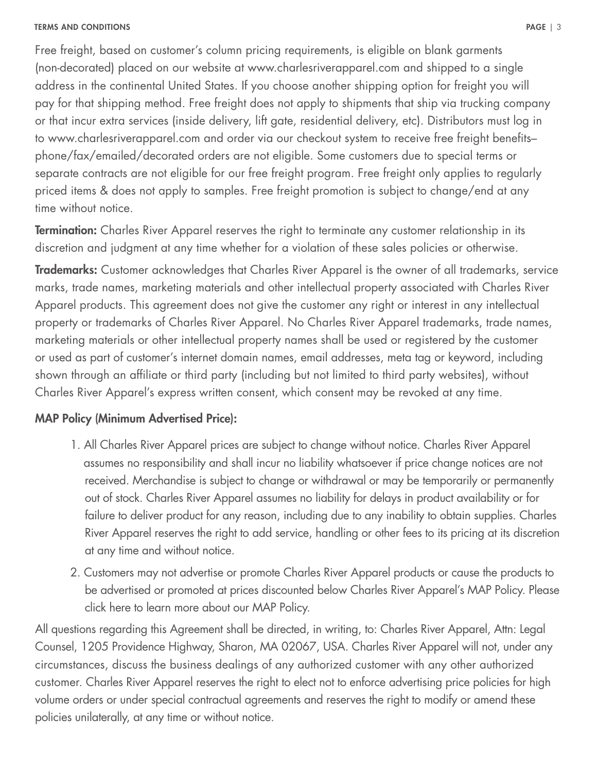## TERMS AND CONDITIONS PAGE | 3

Free freight, based on customer's column pricing requirements, is eligible on blank garments (non-decorated) placed on our website at www.charlesriverapparel.com and shipped to a single address in the continental United States. If you choose another shipping option for freight you will pay for that shipping method. Free freight does not apply to shipments that ship via trucking company or that incur extra services (inside delivery, lift gate, residential delivery, etc). Distributors must log in to www.charlesriverapparel.com and order via our checkout system to receive free freight benefits– phone/fax/emailed/decorated orders are not eligible. Some customers due to special terms or separate contracts are not eligible for our free freight program. Free freight only applies to regularly priced items & does not apply to samples. Free freight promotion is subject to change/end at any time without notice.

**Termination:** Charles River Apparel reserves the right to terminate any customer relationship in its discretion and judgment at any time whether for a violation of these sales policies or otherwise.

**Trademarks:** Customer acknowledges that Charles River Apparel is the owner of all trademarks, service marks, trade names, marketing materials and other intellectual property associated with Charles River Apparel products. This agreement does not give the customer any right or interest in any intellectual property or trademarks of Charles River Apparel. No Charles River Apparel trademarks, trade names, marketing materials or other intellectual property names shall be used or registered by the customer or used as part of customer's internet domain names, email addresses, meta tag or keyword, including shown through an affiliate or third party (including but not limited to third party websites), without Charles River Apparel's express written consent, which consent may be revoked at any time.

## MAP Policy (Minimum Advertised Price):

- 1. All Charles River Apparel prices are subject to change without notice. Charles River Apparel assumes no responsibility and shall incur no liability whatsoever if price change notices are not received. Merchandise is subject to change or withdrawal or may be temporarily or permanently out of stock. Charles River Apparel assumes no liability for delays in product availability or for failure to deliver product for any reason, including due to any inability to obtain supplies. Charles River Apparel reserves the right to add service, handling or other fees to its pricing at its discretion at any time and without notice.
- 2. Customers may not advertise or promote Charles River Apparel products or cause the products to be advertised or promoted at prices discounted below Charles River Apparel's MAP Policy. Please click here to learn more about our MAP Policy.

All questions regarding this Agreement shall be directed, in writing, to: Charles River Apparel, Attn: Legal Counsel, 1205 Providence Highway, Sharon, MA 02067, USA. Charles River Apparel will not, under any circumstances, discuss the business dealings of any authorized customer with any other authorized customer. Charles River Apparel reserves the right to elect not to enforce advertising price policies for high volume orders or under special contractual agreements and reserves the right to modify or amend these policies unilaterally, at any time or without notice.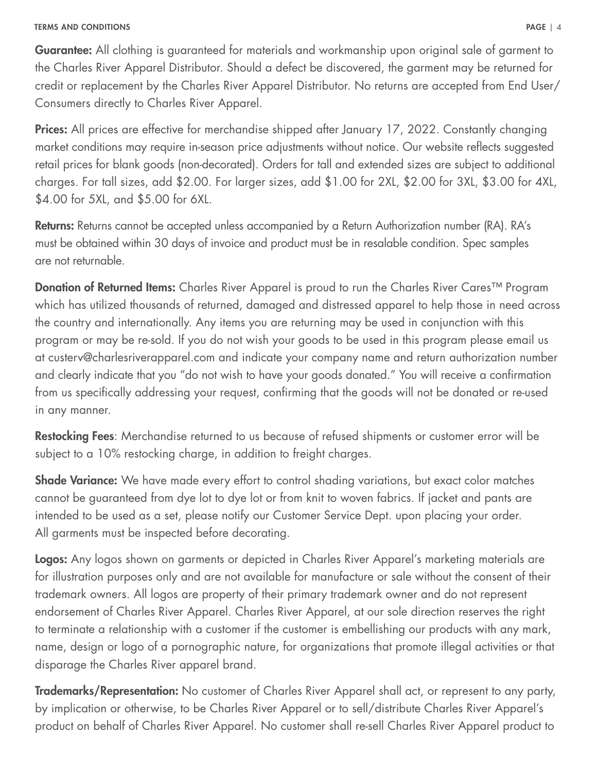## TERMS AND CONDITIONS PAGE | 4

**Guarantee:** All clothing is guaranteed for materials and workmanship upon original sale of garment to the Charles River Apparel Distributor. Should a defect be discovered, the garment may be returned for credit or replacement by the Charles River Apparel Distributor. No returns are accepted from End User/ Consumers directly to Charles River Apparel.

**Prices:** All prices are effective for merchandise shipped after January 17, 2022. Constantly changing market conditions may require in-season price adjustments without notice. Our website reflects suggested retail prices for blank goods (non-decorated). Orders for tall and extended sizes are subject to additional charges. For tall sizes, add \$2.00. For larger sizes, add \$1.00 for 2XL, \$2.00 for 3XL, \$3.00 for 4XL, \$4.00 for 5XL, and \$5.00 for 6XL.

Returns: Returns cannot be accepted unless accompanied by a Return Authorization number (RA). RA's must be obtained within 30 days of invoice and product must be in resalable condition. Spec samples are not returnable.

Donation of Returned Items: Charles River Apparel is proud to run the Charles River Cares™ Program which has utilized thousands of returned, damaged and distressed apparel to help those in need across the country and internationally. Any items you are returning may be used in conjunction with this program or may be re-sold. If you do not wish your goods to be used in this program please email us at custerv@charlesriverapparel.com and indicate your company name and return authorization number and clearly indicate that you "do not wish to have your goods donated." You will receive a confirmation from us specifically addressing your request, confirming that the goods will not be donated or re-used in any manner.

**Restocking Fees**: Merchandise returned to us because of refused shipments or customer error will be subject to a 10% restocking charge, in addition to freight charges.

**Shade Variance:** We have made every effort to control shading variations, but exact color matches cannot be guaranteed from dye lot to dye lot or from knit to woven fabrics. If jacket and pants are intended to be used as a set, please notify our Customer Service Dept. upon placing your order. All garments must be inspected before decorating.

Logos: Any logos shown on garments or depicted in Charles River Apparel's marketing materials are for illustration purposes only and are not available for manufacture or sale without the consent of their trademark owners. All logos are property of their primary trademark owner and do not represent endorsement of Charles River Apparel. Charles River Apparel, at our sole direction reserves the right to terminate a relationship with a customer if the customer is embellishing our products with any mark, name, design or logo of a pornographic nature, for organizations that promote illegal activities or that disparage the Charles River apparel brand.

**Trademarks/Representation:** No customer of Charles River Apparel shall act, or represent to any party, by implication or otherwise, to be Charles River Apparel or to sell/distribute Charles River Apparel's product on behalf of Charles River Apparel. No customer shall re-sell Charles River Apparel product to